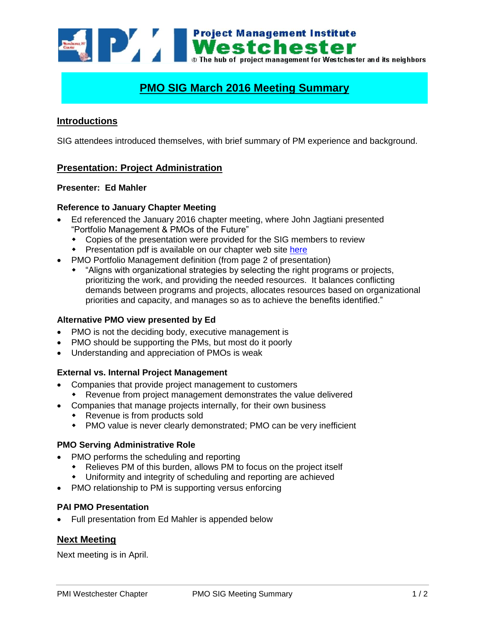Westchester and its neighbors of the bub of project management for Westchester and its neighbors

### **PMO SIG March 2016 Meeting Summary**

### **Introductions**

SIG attendees introduced themselves, with brief summary of PM experience and background.

### **Presentation: Project Administration**

### **Presenter: Ed Mahler**

### **Reference to January Chapter Meeting**

- Ed referenced the January 2016 chapter meeting, where John Jagtiani presented "Portfolio Management & PMOs of the Future"
	- Copies of the presentation were provided for the SIG members to review
	- Presentation pdf is available on our chapter web site [here](https://www.pmiwestchester.org/node/347)
- PMO Portfolio Management definition (from page 2 of presentation)
	- "Aligns with organizational strategies by selecting the right programs or projects, prioritizing the work, and providing the needed resources. It balances conflicting demands between programs and projects, allocates resources based on organizational priorities and capacity, and manages so as to achieve the benefits identified."

### **Alternative PMO view presented by Ed**

- PMO is not the deciding body, executive management is
- PMO should be supporting the PMs, but most do it poorly
- Understanding and appreciation of PMOs is weak

### **External vs. Internal Project Management**

- Companies that provide project management to customers
	- Revenue from project management demonstrates the value delivered
- Companies that manage projects internally, for their own business
	- Revenue is from products sold
	- PMO value is never clearly demonstrated; PMO can be very inefficient

### **PMO Serving Administrative Role**

- PMO performs the scheduling and reporting
	- Relieves PM of this burden, allows PM to focus on the project itself
	- Uniformity and integrity of scheduling and reporting are achieved
- PMO relationship to PM is supporting versus enforcing

### **PAI PMO Presentation**

Full presentation from Ed Mahler is appended below

### **Next Meeting**

Next meeting is in April.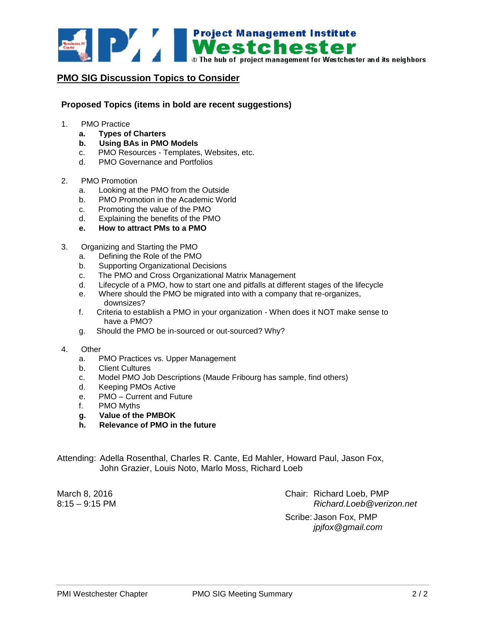

### **PMO SIG Discussion Topics to Consider**

#### **Proposed Topics (items in bold are recent suggestions)**

- 1. PMO Practice
	- **a. Types of Charters**
	- **b. Using BAs in PMO Models**
	- c. PMO Resources Templates, Websites, etc.
	- d. PMO Governance and Portfolios
- 2. PMO Promotion
	- a. Looking at the PMO from the Outside
	- b. PMO Promotion in the Academic World
	- c. Promoting the value of the PMO
	- d. Explaining the benefits of the PMO
	- **e. How to attract PMs to a PMO**
- 3. Organizing and Starting the PMO
	- a. Defining the Role of the PMO
	- b. Supporting Organizational Decisions
	- c. The PMO and Cross Organizational Matrix Management
	- d. Lifecycle of a PMO, how to start one and pitfalls at different stages of the lifecycle
	- e. Where should the PMO be migrated into with a company that re-organizes, downsizes?
	- f. Criteria to establish a PMO in your organization When does it NOT make sense to have a PMO?
	- g. Should the PMO be in-sourced or out-sourced? Why?

#### 4. Other

- a. PMO Practices vs. Upper Management
- b. Client Cultures
- c. Model PMO Job Descriptions (Maude Fribourg has sample, find others)
- d. Keeping PMOs Active
- e. PMO Current and Future
- f. PMO Myths
- **g. Value of the PMBOK**
- **h. Relevance of PMO in the future**

Attending: Adella Rosenthal, Charles R. Cante, Ed Mahler, Howard Paul, Jason Fox, John Grazier, Louis Noto, Marlo Moss, Richard Loeb

March 8, 2016 Chair: Richard Loeb, PMP 8:15 – 9:15 PM *Richard.Loeb@verizon.net* Scribe: Jason Fox, PMP

*jpjfox@gmail.com*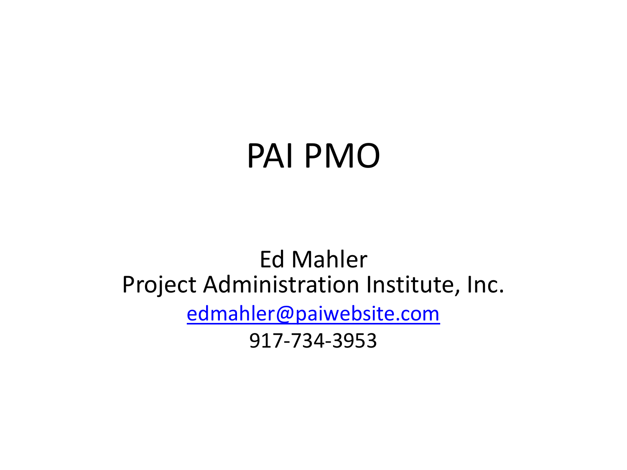## PAI PMO

### Ed Mahler Project Administration Institute, Inc. [edmahler@paiwebsite.com](mailto:edmahler@paiwebsite.com) 917-734-3953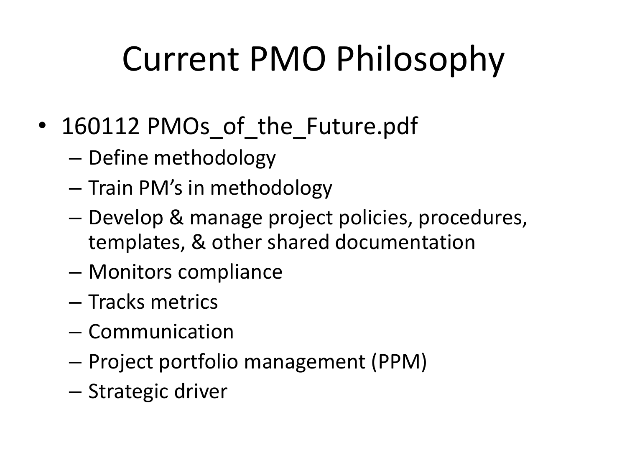# Current PMO Philosophy

- 160112 PMOs of\_the\_Future.pdf
	- Define methodology
	- Train PM's in methodology
	- Develop & manage project policies, procedures, templates, & other shared documentation
	- Monitors compliance
	- Tracks metrics
	- Communication
	- Project portfolio management (PPM)
	- Strategic driver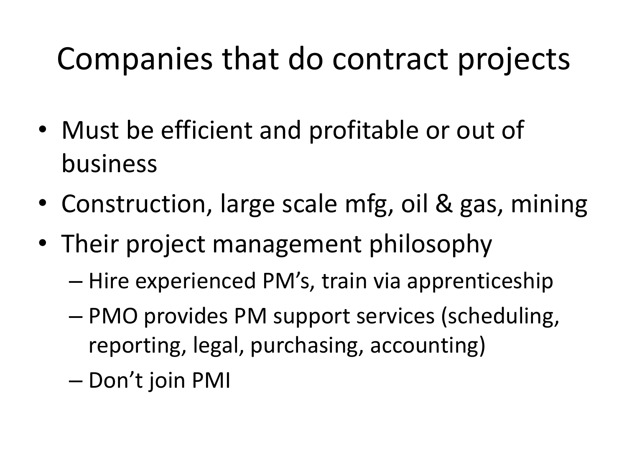## Companies that do contract projects

- Must be efficient and profitable or out of business
- Construction, large scale mfg, oil & gas, mining
- Their project management philosophy
	- Hire experienced PM's, train via apprenticeship
	- PMO provides PM support services (scheduling, reporting, legal, purchasing, accounting)
	- Don't join PMI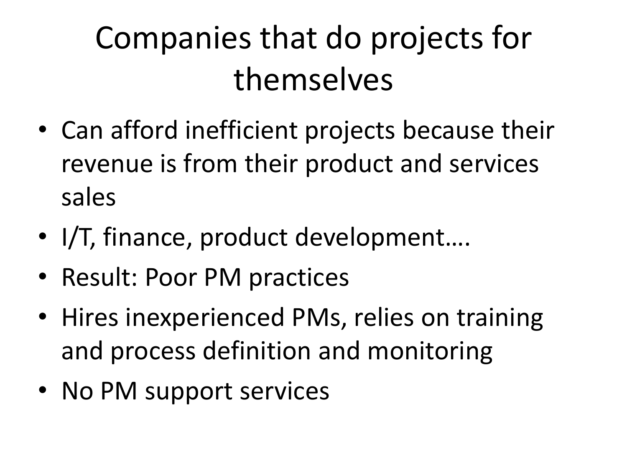## Companies that do projects for themselves

- Can afford inefficient projects because their revenue is from their product and services sales
- I/T, finance, product development....
- Result: Poor PM practices
- Hires inexperienced PMs, relies on training and process definition and monitoring
- No PM support services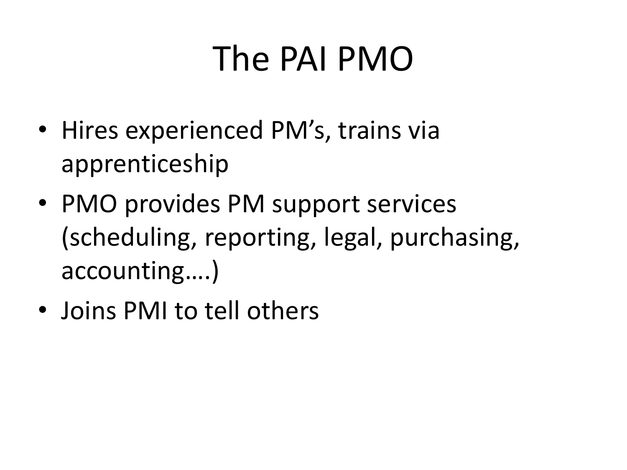## The PAI PMO

- Hires experienced PM's, trains via apprenticeship
- PMO provides PM support services (scheduling, reporting, legal, purchasing, accounting….)
- Joins PMI to tell others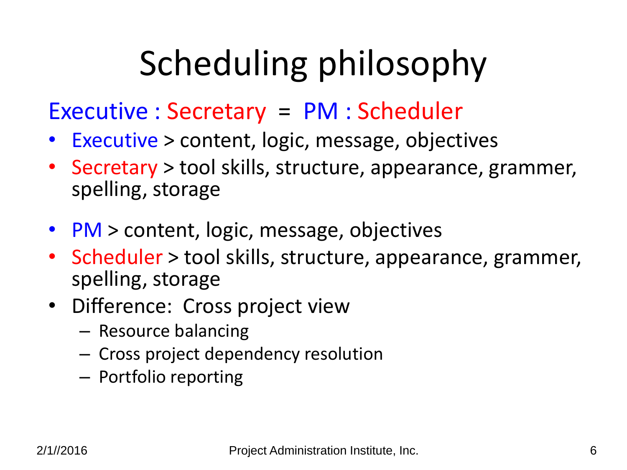# Scheduling philosophy

### Executive : Secretary = PM : Scheduler

- Executive > content, logic, message, objectives
- Secretary > tool skills, structure, appearance, grammer, spelling, storage
- PM > content, logic, message, objectives
- Scheduler > tool skills, structure, appearance, grammer, spelling, storage
- Difference: Cross project view
	- Resource balancing
	- Cross project dependency resolution
	- Portfolio reporting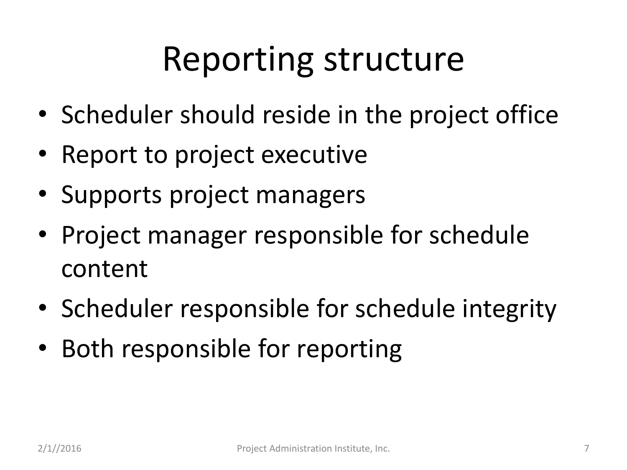## Reporting structure

- Scheduler should reside in the project office
- Report to project executive
- Supports project managers
- Project manager responsible for schedule content
- Scheduler responsible for schedule integrity
- Both responsible for reporting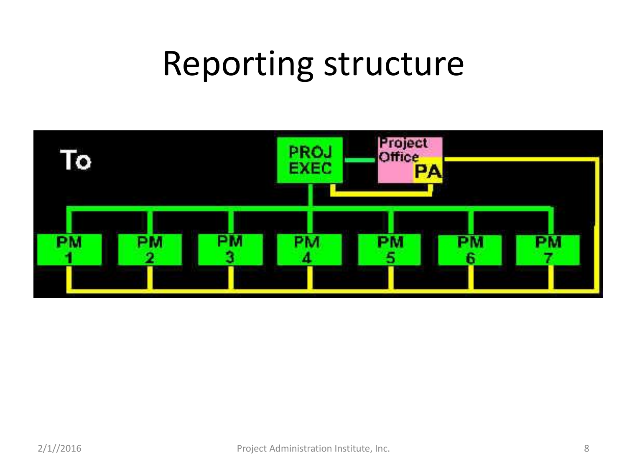## Reporting structure

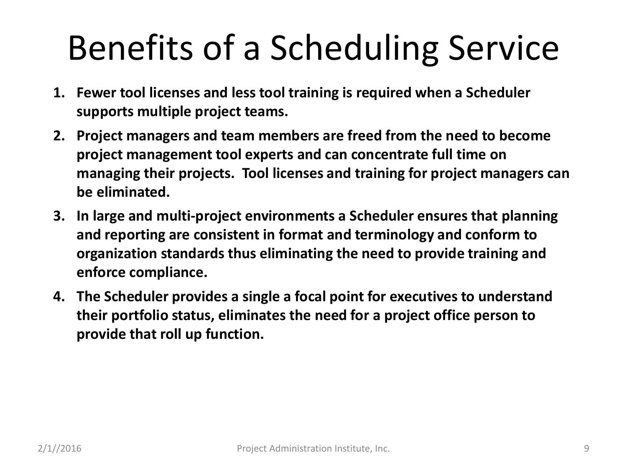# Benefits of a Scheduling Service

- **1. Fewer tool licenses and less tool training is required when a Scheduler supports multiple project teams.**
- **2. Project managers and team members are freed from the need to become project management tool experts and can concentrate full time on managing their projects. Tool licenses and training for project managers can be eliminated.**
- **3. In large and multi-project environments a Scheduler ensures that planning and reporting are consistent in format and terminology and conform to organization standards thus eliminating the need to provide training and enforce compliance.**
- **4. The Scheduler provides a single a focal point for executives to understand their portfolio status, eliminates the need for a project office person to provide that roll up function.**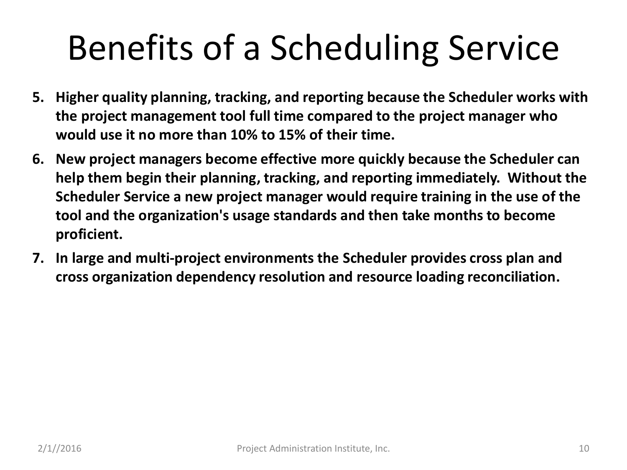# Benefits of a Scheduling Service

- **5. Higher quality planning, tracking, and reporting because the Scheduler works with the project management tool full time compared to the project manager who would use it no more than 10% to 15% of their time.**
- **6. New project managers become effective more quickly because the Scheduler can help them begin their planning, tracking, and reporting immediately. Without the Scheduler Service a new project manager would require training in the use of the tool and the organization's usage standards and then take months to become proficient.**
- **7. In large and multi-project environments the Scheduler provides cross plan and cross organization dependency resolution and resource loading reconciliation.**